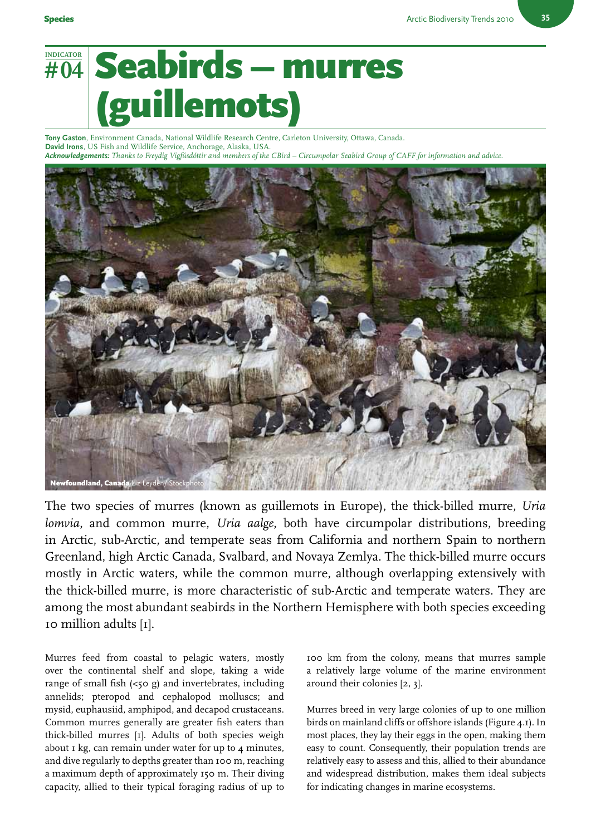## **# 04 INDICATOR** Seabirds – murres llemots)

**Tony Gaston**, Environment Canada, National Wildlife Research Centre, Carleton University, Ottawa, Canada. **David Irons**, US Fish and Wildlife Service, Anchorage, Alaska, USA. *Acknowledgements: Thanks to Freydig Vigfúsdóttir and members of the CBird – Circumpolar Seabird Group of CAFF for information and advice.*



The two species of murres (known as guillemots in Europe), the thick-billed murre, *Uria lomvia*, and common murre, *Uria aalge*, both have circumpolar distributions, breeding in Arctic, sub-Arctic, and temperate seas from California and northern Spain to northern Greenland, high Arctic Canada, Svalbard, and Novaya Zemlya. The thick-billed murre occurs mostly in Arctic waters, while the common murre, although overlapping extensively with the thick-billed murre, is more characteristic of sub-Arctic and temperate waters. They are among the most abundant seabirds in the Northern Hemisphere with both species exceeding 10 million adults [1].

Murres feed from coastal to pelagic waters, mostly over the continental shelf and slope, taking a wide range of small fish  $\left( <50 \right)$  and invertebrates, including annelids; pteropod and cephalopod molluscs; and mysid, euphausiid, amphipod, and decapod crustaceans. Common murres generally are greater fish eaters than thick-billed murres [1]. Adults of both species weigh about  $I$  kg, can remain under water for up to  $4$  minutes, and dive regularly to depths greater than 100 m, reaching a maximum depth of approximately 150 m. Their diving capacity, allied to their typical foraging radius of up to

100 km from the colony, means that murres sample a relatively large volume of the marine environment around their colonies [2, 3].

Murres breed in very large colonies of up to one million birds on mainland cliffs or offshore islands (Figure 4.1). In most places, they lay their eggs in the open, making them easy to count. Consequently, their population trends are relatively easy to assess and this, allied to their abundance and widespread distribution, makes them ideal subjects for indicating changes in marine ecosystems.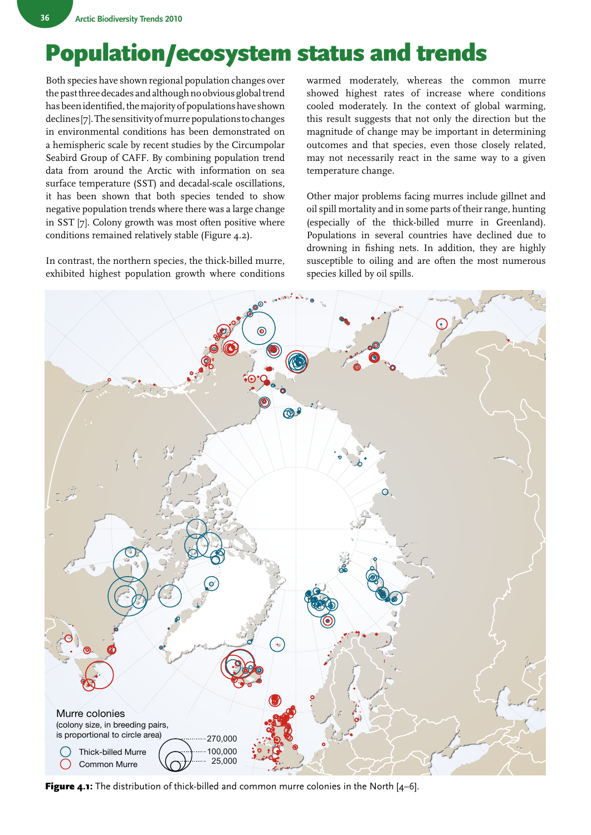## Population/ecosystem status and trends

Both species have shown regional population changes over the past three decades and although no obvious global trend has been identified, the majority of populations have shown declines [7]. The sensitivity of murre populations to changes in environmental conditions has been demonstrated on a hemispheric scale by recent studies by the Circumpolar Seabird Group of CAFF. By combining population trend data from around the Arctic with information on sea surface temperature (SST) and decadal-scale oscillations, it has been shown that both species tended to show negative population trends where there was a large change in SST [7]. Colony growth was most often positive where conditions remained relatively stable (Figure 4.2).

In contrast, the northern species, the thick-billed murre, exhibited highest population growth where conditions

warmed moderately, whereas the common murre showed highest rates of increase where conditions cooled moderately. In the context of global warming, this result suggests that not only the direction but the magnitude of change may be important in determining outcomes and that species, even those closely related, may not necessarily react in the same way to a given temperature change.

Other major problems facing murres include gillnet and oil spill mortality and in some parts of their range, hunting (especially of the thick-billed murre in Greenland). Populations in several countries have declined due to drowning in fishing nets. In addition, they are highly susceptible to oiling and are often the most numerous species killed by oil spills.



Figure 4.1: The distribution of thick-billed and common murre colonies in the North [4-6].